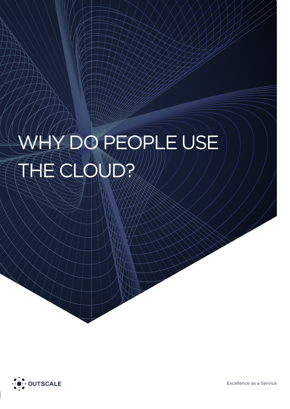# WHY DO PEOPLE USE THE CLOUD?

 $\wedge$   $\wedge$   $\wedge$   $\wedge$  While  $\wedge$   $\vee$   $\vee$ 



Excellence as a Service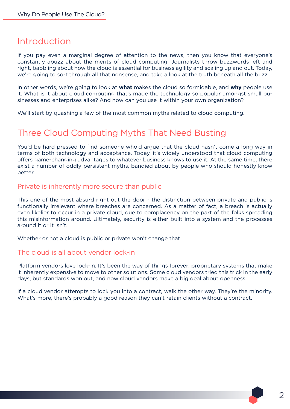### Introduction

If you pay even a marginal degree of attention to the news, then you know that everyone's constantly abuzz about the merits of cloud computing. Journalists throw buzzwords left and right, babbling about how the cloud is essential for business agility and scaling up and out. Today, we're going to sort through all that nonsense, and take a look at the truth beneath all the buzz.

In other words, we're going to look at **what** makes the cloud so formidable, and **why** people use it. What is it about cloud computing that's made the technology so popular amongst small businesses and enterprises alike? And how can you use it within your own organization?

We'll start by quashing a few of the most common myths related to cloud computing.

## Three Cloud Computing Myths That Need Busting

You'd be hard pressed to find someone who'd argue that the cloud hasn't come a long way in terms of both technology and acceptance. Today, it's widely understood that cloud computing offers game-changing advantages to whatever business knows to use it. At the same time, there exist a number of oddly-persistent myths, bandied about by people who should honestly know better.

#### Private is inherently more secure than public

This one of the most absurd right out the door - the distinction between private and public is functionally irrelevant where breaches are concerned. As a matter of fact, a breach is actually even likelier to occur in a private cloud, due to complacency on the part of the folks spreading this misinformation around. Ultimately, security is either built into a system and the processes around it or it isn't.

Whether or not a cloud is public or private won't change that.

#### The cloud is all about vendor lock-in

Platform vendors love lock-in. It's been the way of things forever: proprietary systems that make it inherently expensive to move to other solutions. Some cloud vendors tried this trick in the early days, but standards won out, and now cloud vendors make a big deal about openness.

If a cloud vendor attempts to lock you into a contract, walk the other way. They're the minority. What's more, there's probably a good reason they can't retain clients without a contract.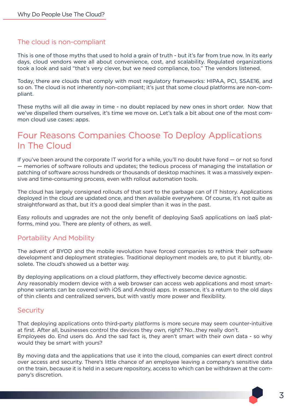#### The cloud is non-compliant

This is one of those myths that used to hold a grain of truth - but it's far from true now. In its early days, cloud vendors were all about convenience, cost, and scalability. Regulated organizations took a look and said "that's very clever, but we need compliance, too." The vendors listened.

Today, there are clouds that comply with most regulatory frameworks: HIPAA, PCI, SSAE16, and so on. The cloud is not inherently non-compliant; it's just that some cloud platforms are non-compliant.

These myths will all die away in time - no doubt replaced by new ones in short order. Now that we've dispelled them ourselves, it's time we move on. Let's talk a bit about one of the most common cloud use cases: apps.

## Four Reasons Companies Choose To Deploy Applications In The Cloud

If you've been around the corporate IT world for a while, you'll no doubt have fond — or not so fond — memories of software rollouts and updates; the tedious process of managing the installation or patching of software across hundreds or thousands of desktop machines. It was a massively expensive and time-consuming process, even with rollout automation tools.

The cloud has largely consigned rollouts of that sort to the garbage can of IT history. Applications deployed in the cloud are updated once, and then available everywhere. Of course, it's not quite as straightforward as that, but it's a good deal simpler than it was in the past.

Easy rollouts and upgrades are not the only benefit of deploying SaaS applications on IaaS platforms, mind you. There are plenty of others, as well.

#### Portability And Mobility

The advent of BYOD and the mobile revolution have forced companies to rethink their software development and deployment strategies. Traditional deployment models are, to put it bluntly, obsolete. The cloud's showed us a better way.

By deploying applications on a cloud platform, they effectively become device agnostic. Any reasonably modern device with a web browser can access web applications and most smartphone variants can be covered with iOS and Android apps. In essence, it's a return to the old days of thin clients and centralized servers, but with vastly more power and flexibility.

#### **Security**

That deploying applications onto third-party platforms is more secure may seem counter-intuitive at first. After all, businesses control the devices they own, right? No...they really don't. Employees do. End users do. And the sad fact is, they aren't smart with their own data - so why would they be smart with yours?

By moving data and the applications that use it into the cloud, companies can exert direct control over access and security. There's little chance of an employee leaving a company's sensitive data on the train, because it is held in a secure repository, access to which can be withdrawn at the company's discretion.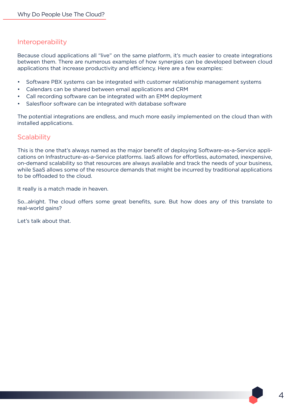#### Interoperability

Because cloud applications all "live" on the same platform, it's much easier to create integrations between them. There are numerous examples of how synergies can be developed between cloud applications that increase productivity and efficiency. Here are a few examples:

- Software PBX systems can be integrated with customer relationship management systems
- Calendars can be shared between email applications and CRM
- Call recording software can be integrated with an EMM deployment
- Salesfloor software can be integrated with database software

The potential integrations are endless, and much more easily implemented on the cloud than with installed applications.

#### **Scalability**

This is the one that's always named as the major benefit of deploying Software-as-a-Service applications on Infrastructure-as-a-Service platforms. IaaS allows for effortless, automated, inexpensive, on-demand scalability so that resources are always available and track the needs of your business, while SaaS allows some of the resource demands that might be incurred by traditional applications to be offloaded to the cloud.

It really is a match made in heaven.

So...alright. The cloud offers some great benefits, sure. But how does any of this translate to real-world gains?

Let's talk about that.